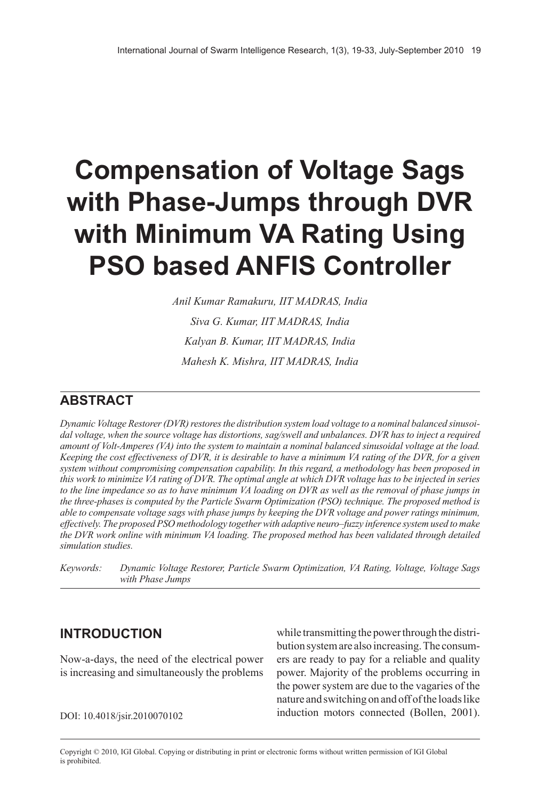# **compensation of Voltage Sags with Phase-Jumps through DVR with Minimum VA Rating Using PSO based AnFIS controller**

*Anil Kumar Ramakuru, IIT MADRAS, India Siva G. Kumar, IIT MADRAS, India Kalyan B. Kumar, IIT MADRAS, India Mahesh K. Mishra, IIT MADRAS, India*

## **ABSTrAcT**

*Dynamic Voltage Restorer (DVR) restores the distribution system load voltage to a nominal balanced sinusoidal voltage, when the source voltage has distortions, sag/swell and unbalances. DVR has to inject a required amount of Volt-Amperes (VA) into the system to maintain a nominal balanced sinusoidal voltage at the load. Keeping the cost effectiveness of DVR, it is desirable to have a minimum VA rating of the DVR, for a given system without compromising compensation capability. In this regard, a methodology has been proposed in this work to minimize VA rating of DVR. The optimal angle at which DVR voltage has to be injected in series to the line impedance so as to have minimum VA loading on DVR as well as the removal of phase jumps in the three-phases is computed by the Particle Swarm Optimization (PSO) technique. The proposed method is able to compensate voltage sags with phase jumps by keeping the DVR voltage and power ratings minimum, effectively. The proposed PSO methodology together with adaptive neuro–fuzzy inference system used to make the DVR work online with minimum VA loading. The proposed method has been validated through detailed simulation studies.*

*Keywords: Dynamic Voltage Restorer, Particle Swarm Optimization, VA Rating, Voltage, Voltage Sags with Phase Jumps*

## **InTrOducTIOn**

Now-a-days, the need of the electrical power is increasing and simultaneously the problems

while transmitting the power through the distribution system are also increasing. The consumers are ready to pay for a reliable and quality power. Majority of the problems occurring in the power system are due to the vagaries of the nature and switching on and off of the loads like DOI: 10.4018/jsir.2010070102 induction motors connected (Bollen, 2001).

Copyright © 2010, IGI Global. Copying or distributing in print or electronic forms without written permission of IGI Global is prohibited.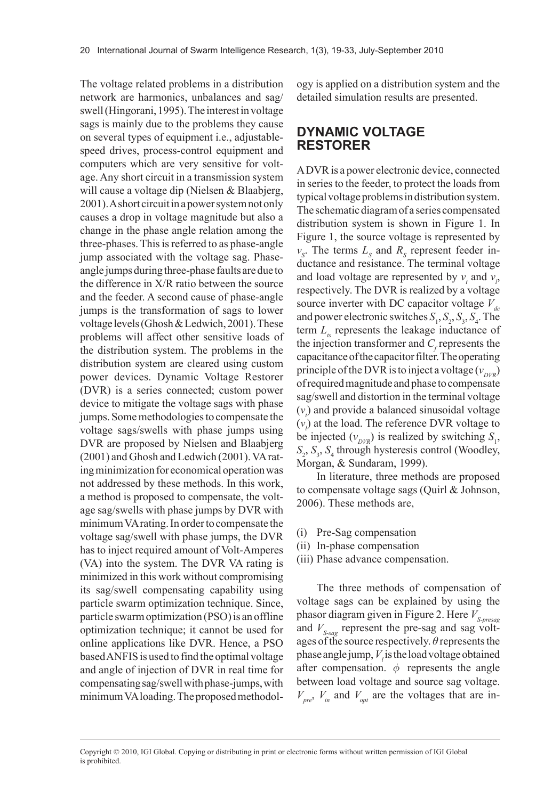The voltage related problems in a distribution network are harmonics, unbalances and sag/ swell (Hingorani, 1995). The interest in voltage sags is mainly due to the problems they cause on several types of equipment i.e., adjustablespeed drives, process-control equipment and computers which are very sensitive for voltage. Any short circuit in a transmission system will cause a voltage dip (Nielsen & Blaabjerg, 2001). A short circuit in a power system not only causes a drop in voltage magnitude but also a change in the phase angle relation among the three-phases. This is referred to as phase-angle jump associated with the voltage sag. Phaseangle jumps during three-phase faults are due to the difference in X/R ratio between the source and the feeder. A second cause of phase-angle jumps is the transformation of sags to lower voltage levels (Ghosh & Ledwich, 2001). These problems will affect other sensitive loads of the distribution system. The problems in the distribution system are cleared using custom power devices. Dynamic Voltage Restorer (DVR) is a series connected; custom power device to mitigate the voltage sags with phase jumps. Some methodologies to compensate the voltage sags/swells with phase jumps using DVR are proposed by Nielsen and Blaabjerg (2001) and Ghosh and Ledwich (2001). VA rating minimization for economical operation was not addressed by these methods. In this work, a method is proposed to compensate, the voltage sag/swells with phase jumps by DVR with minimum VA rating. In order to compensate the voltage sag/swell with phase jumps, the DVR has to inject required amount of Volt-Amperes (VA) into the system. The DVR VA rating is minimized in this work without compromising its sag/swell compensating capability using particle swarm optimization technique. Since, particle swarm optimization (PSO) is an offline optimization technique; it cannot be used for online applications like DVR. Hence, a PSO based ANFIS is used to find the optimal voltage and angle of injection of DVR in real time for compensating sag/swell with phase-jumps, with minimum VA loading. The proposed methodology is applied on a distribution system and the detailed simulation results are presented.

### **dynAMIc VOlTAgE rESTOrEr**

A DVR is a power electronic device, connected in series to the feeder, to protect the loads from typical voltage problems in distribution system. The schematic diagram of a series compensated distribution system is shown in Figure 1. In Figure 1, the source voltage is represented by  $v_s$ . The terms  $L_s$  and  $R_s$  represent feeder inductance and resistance. The terminal voltage and load voltage are represented by  $v_t$  and  $v_p$ respectively. The DVR is realized by a voltage source inverter with DC capacitor voltage  $V_{dc}$ and power electronic switches  $S_1$ ,  $S_2$ ,  $S_3$ ,  $S_4$ . The term  $L<sub>t</sub>$  represents the leakage inductance of the injection transformer and  $C_f$  represents the capacitance of the capacitor filter. The operating principle of the DVR is to inject a voltage  $(v_{\text{DVR}})$ of required magnitude and phase to compensate sag/swell and distortion in the terminal voltage  $(v<sub>t</sub>)$  and provide a balanced sinusoidal voltage  $(v_i)$  at the load. The reference DVR voltage to be injected  $(v_{DVR})$  is realized by switching  $S_1$ ,  $S_2$ ,  $S_3$ ,  $S_4$  through hysteresis control (Woodley, Morgan, & Sundaram, 1999).

In literature, three methods are proposed to compensate voltage sags (Quirl & Johnson, 2006). These methods are,

- (i) Pre-Sag compensation
- (ii) In-phase compensation
- (iii) Phase advance compensation.

The three methods of compensation of voltage sags can be explained by using the phasor diagram given in Figure 2. Here *V*<sub>S-presag</sub> and  $V_{S\text{-}sae}$  represent the pre-sag and sag voltages of the source respectively. *θ* represents the phase angle jump,  $V<sub>i</sub>$  is the load voltage obtained after compensation.  $\phi$  represents the angle between load voltage and source sag voltage.  $V_{pre}$ ,  $V_{in}$  and  $V_{opt}$  are the voltages that are in-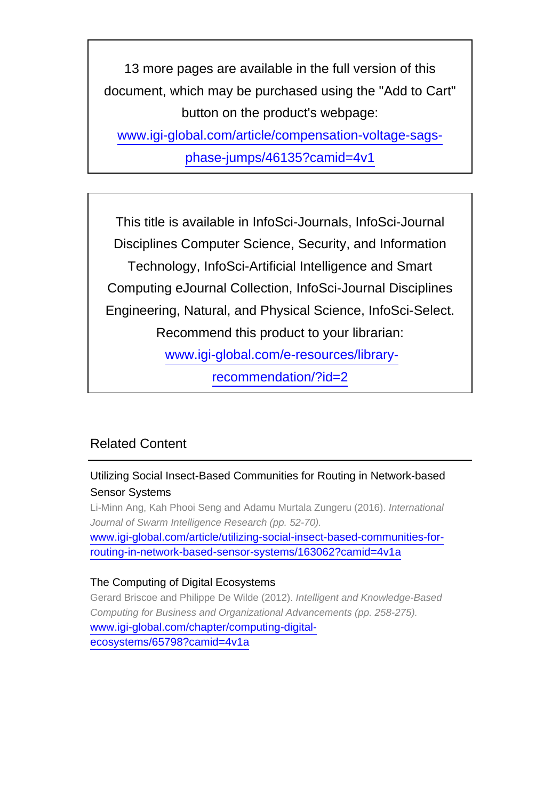13 more pages are available in the full version of this document, which may be purchased using the "Add to Cart" button on the product's webpage:

[www.igi-global.com/article/compensation-voltage-sags-](http://www.igi-global.com/article/compensation-voltage-sags-phase-jumps/46135?camid=4v1)

[phase-jumps/46135?camid=4v1](http://www.igi-global.com/article/compensation-voltage-sags-phase-jumps/46135?camid=4v1)

This title is available in InfoSci-Journals, InfoSci-Journal Disciplines Computer Science, Security, and Information Technology, InfoSci-Artificial Intelligence and Smart Computing eJournal Collection, InfoSci-Journal Disciplines Engineering, Natural, and Physical Science, InfoSci-Select. Recommend this product to your librarian: [www.igi-global.com/e-resources/library-](http://www.igi-global.com/e-resources/library-recommendation/?id=2)

[recommendation/?id=2](http://www.igi-global.com/e-resources/library-recommendation/?id=2)

# Related Content

## Utilizing Social Insect-Based Communities for Routing in Network-based Sensor Systems

Li-Minn Ang, Kah Phooi Seng and Adamu Murtala Zungeru (2016). International Journal of Swarm Intelligence Research (pp. 52-70). [www.igi-global.com/article/utilizing-social-insect-based-communities-for](http://www.igi-global.com/article/utilizing-social-insect-based-communities-for-routing-in-network-based-sensor-systems/163062?camid=4v1a)[routing-in-network-based-sensor-systems/163062?camid=4v1a](http://www.igi-global.com/article/utilizing-social-insect-based-communities-for-routing-in-network-based-sensor-systems/163062?camid=4v1a)

## The Computing of Digital Ecosystems

Gerard Briscoe and Philippe De Wilde (2012). Intelligent and Knowledge-Based Computing for Business and Organizational Advancements (pp. 258-275). [www.igi-global.com/chapter/computing-digital](http://www.igi-global.com/chapter/computing-digital-ecosystems/65798?camid=4v1a)[ecosystems/65798?camid=4v1a](http://www.igi-global.com/chapter/computing-digital-ecosystems/65798?camid=4v1a)